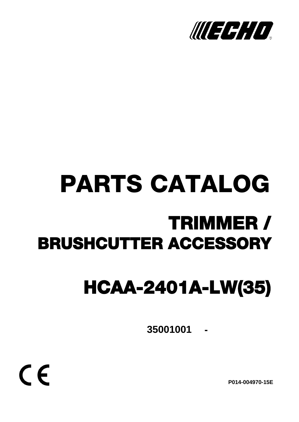

# PARTS CATALOG TRIMMER / BRUSHCUTTER ACCESSORY

## HCAA-2401A-LW(35)

**- 35001001**

 $C \in$ 

**P014-004970-15E**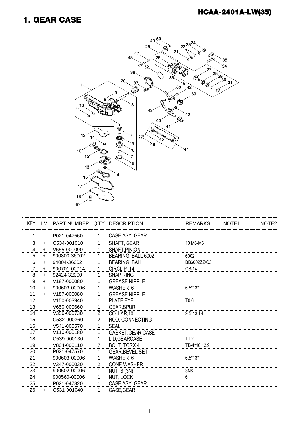#### 1. GEAR CASE



| <b>KEY</b> |           | LV PART NUMBER Q'TY DESCRIPTION |                |                          | <b>REMARKS</b>   | NOTE <sub>1</sub> | NOTE2 |
|------------|-----------|---------------------------------|----------------|--------------------------|------------------|-------------------|-------|
|            |           | P021-047560                     |                | CASE ASY, GEAR           |                  |                   |       |
| 3          | $\ddot{}$ | C534-001010                     |                | SHAFT, GEAR              | 10 M6-M6         |                   |       |
| 4          | $\ddot{}$ | V655-000090                     | 1              | SHAFT, PINION            |                  |                   |       |
| 5          | ÷.        | 900800-36002                    | 1              | BEARING, BALL 6002       | 6002             |                   |       |
| 6          | $+$       | 94004-36002                     |                | <b>BEARING, BALL</b>     | BB6002ZZ/C3      |                   |       |
| 7          | $+$       | 900701-00014                    |                | CIRCLIP 14               | $CS-14$          |                   |       |
| 8          | $+$       | 92424-32000                     |                | <b>SNAP RING</b>         |                  |                   |       |
| 9          | $+$       | V187-000080                     |                | <b>GREASE NIPPLE</b>     |                  |                   |       |
| 10         | $\ddot{}$ | 900603-00006                    |                | WASHER 6                 | $6.5*13*1$       |                   |       |
| 11         | $+$       | V187-000080                     |                | <b>GREASE NIPPLE</b>     |                  |                   |       |
| 12         |           | V150-003940                     |                | PLATE, EYE               | T <sub>0.6</sub> |                   |       |
| 13         |           | V650-000660                     |                | <b>GEAR, SPUR</b>        |                  |                   |       |
| 14         |           | V356-000730                     | 2              | COLLAR, 10               | 9.5*13*L4        |                   |       |
| 15         |           | C532-000360                     | 2              | ROD, CONNECTING          |                  |                   |       |
| 16         |           | V541-000570                     |                | <b>SEAL</b>              |                  |                   |       |
| 17         |           | V110-000180                     |                | <b>GASKET, GEAR CASE</b> |                  |                   |       |
| 18         |           | C539-000130                     |                | LID, GEARCASE            | T1.2             |                   |       |
| 19         |           | V804-000110                     | $\overline{7}$ | BOLT, TORX 4             | TB-4*10 12.9     |                   |       |
| 20         |           | P021-047570                     |                | <b>GEAR, BEVEL SET</b>   |                  |                   |       |
| 21         |           | 900603-00006                    |                | <b>WASHER 6</b>          | $6.5*13*1$       |                   |       |
| 22         |           | V347-000030                     | 2              | <b>CONE WASHER</b>       |                  |                   |       |
| 23         |           | 900502-00006                    |                | NUT 6 (3N)               | 3N6              |                   |       |
| 24         |           | 900560-00006                    |                | NUT, LOCK                | 6                |                   |       |
| 25         |           | P021-047820                     |                | CASE ASY, GEAR           |                  |                   |       |
| 26         | $+$       | C531-001040                     |                | CASE.GEAR                |                  |                   |       |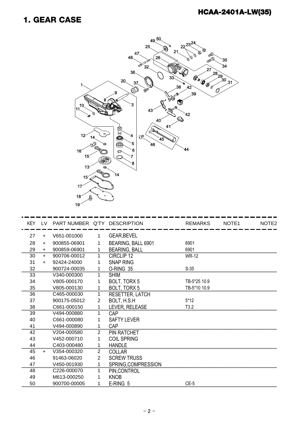#### 1. GEAR CASE



| KEY |           | LV PART NUMBER Q'TY DESCRIPTION |                |                        | <b>REMARKS</b>   | NOTE <sub>1</sub> | NOTE <sub>2</sub> |
|-----|-----------|---------------------------------|----------------|------------------------|------------------|-------------------|-------------------|
| 27  | $+$       | V651-001000                     | 1              | <b>GEAR, BEVEL</b>     |                  |                   |                   |
| 28  | $\ddot{}$ | 900855-06901                    |                | BEARING, BALL 6901     | 6901             |                   |                   |
| 29  | $+$       | 900859-06901                    | 1              | <b>BEARING, BALL</b>   | 6901             |                   |                   |
| 30  | $+$       | 900706-00012                    | 1              | CIRCLIP <sub>12</sub>  | <b>WR-12</b>     |                   |                   |
| 31  | $+$       | 92424-24000                     | 1              | <b>SNAP RING</b>       |                  |                   |                   |
| 32  |           | 900724-00035                    | 1              | O-RING 35              | $S-35$           |                   |                   |
| 33  |           | V340-000300                     | 1              | <b>SHIM</b>            |                  |                   |                   |
| 34  |           | V805-000170                     | 1              | BOLT, TORX 5           | TB-5*25 10.9     |                   |                   |
| 35  |           | V805-000130                     |                | <b>BOLT, TORX 5</b>    | TB-5*10 10.9     |                   |                   |
| 36  |           | C465-000030                     | 1              | <b>RESETTER, LATCH</b> |                  |                   |                   |
| 37  |           | 900175-05012                    | 2              | BOLT, H.S.H            | $5*12$           |                   |                   |
| 38  |           | C661-000150                     | 1              | LEVER, RELEASE         | T <sub>3.2</sub> |                   |                   |
| 39  |           | V494-000880                     | 1.             | CAP                    |                  |                   |                   |
| 40  |           | C661-000080                     |                | <b>SAFTY LEVER</b>     |                  |                   |                   |
| 41  |           | V494-000890                     | 1              | CAP                    |                  |                   |                   |
| 42  |           | V204-000580                     | 2              | <b>PIN RATCHET</b>     |                  |                   |                   |
| 43  |           | V452-000710                     | 1              | <b>COIL SPRING</b>     |                  |                   |                   |
| 44  |           | C403-000480                     | 1              | <b>HANDLE</b>          |                  |                   |                   |
| 45  | $+$       | V354-000320                     | 2              | <b>COLLAR</b>          |                  |                   |                   |
| 46  |           | 91463-06020                     | $\overline{2}$ | <b>SCREW TRUSS</b>     |                  |                   |                   |
| 47  |           | V450-001930                     |                | SPRING, COMPRESSION    |                  |                   |                   |
| 48  |           | C226-000070                     | 1              | PIN, CONTROL           |                  |                   |                   |
| 49  |           | M613-000250                     |                | <b>KNOB</b>            |                  |                   |                   |
| 50  |           | 900700-00005                    | 1              | E-RING 5               | $CE-5$           |                   |                   |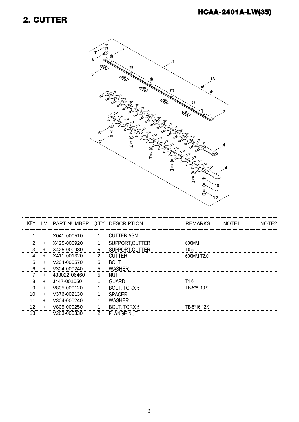#### 2. CUTTER



|    |           | KEY LV PART NUMBER Q'TY DESCRIPTION |    |                    | <b>REMARKS</b>   | NOTE <sub>1</sub> | NOTE2 |
|----|-----------|-------------------------------------|----|--------------------|------------------|-------------------|-------|
|    |           | X041-000510                         |    | <b>CUTTER, ASM</b> |                  |                   |       |
|    | $\pm$     | X425-000920                         |    | SUPPORT, CUTTER    | 600MM            |                   |       |
| 3  | $\ddot{}$ | X425-000930                         | 5  | SUPPORT, CUTTER    | T <sub>0.5</sub> |                   |       |
| 4  | +         | X411-001320                         | 2  | <b>CUTTER</b>      | 600MM T2.0       |                   |       |
| 5  | $\ddot{}$ | V204-000570                         | 5  | <b>BOLT</b>        |                  |                   |       |
| 6  | $\ddot{}$ | V304-000240                         | 5  | <b>WASHER</b>      |                  |                   |       |
|    | +         | 433022-06460                        | 5. | NUT                |                  |                   |       |
| 8  | $\ddot{}$ | J447-001050                         |    | <b>GUARD</b>       | T <sub>1.6</sub> |                   |       |
| 9  | $\ddot{}$ | V805-000120                         |    | BOLT, TORX 5       | TB-5*8 10.9      |                   |       |
| 10 | $+$       | V376-002130                         |    | <b>SPACER</b>      |                  |                   |       |
| 11 | $\ddot{}$ | V304-000240                         |    | <b>WASHER</b>      |                  |                   |       |
| 12 | $\ddot{}$ | V805-000250                         |    | BOLT, TORX 5       | TB-5*16 12.9     |                   |       |
| 13 |           | V263-000330                         | 2  | <b>FLANGE NUT</b>  |                  |                   |       |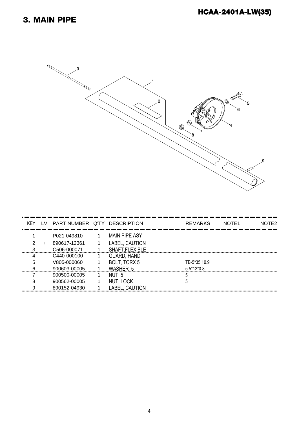#### 3. MAIN PIPE



| KEY | LV.   | PART NUMBER Q'TY DESCRIPTION |                      | <b>REMARKS</b> | NOTE <sub>1</sub> | NOTE2 |
|-----|-------|------------------------------|----------------------|----------------|-------------------|-------|
|     |       | P021-049810                  | <b>MAIN PIPE ASY</b> |                |                   |       |
|     |       |                              |                      |                |                   |       |
|     | $\pm$ | 890617-12361                 | LABEL, CAUTION       |                |                   |       |
| 2   |       | C506-000071                  | SHAFT, FLEXIBLE      |                |                   |       |
|     |       | C440-000100                  | <b>GUARD, HAND</b>   |                |                   |       |
| 5   |       | V805-000060                  | BOLT, TORX 5         | TB-5*35 10.9   |                   |       |
| հ   |       | 900603-00005                 | <b>WASHER 5</b>      | $5.5*12*0.8$   |                   |       |
|     |       | 900500-00005                 | NUT <sub>5</sub>     |                |                   |       |
| 8   |       | 900562-00005                 | NUT, LOCK            |                |                   |       |
| Ω   |       | 890152-04930                 | LABEL, CAUTION       |                |                   |       |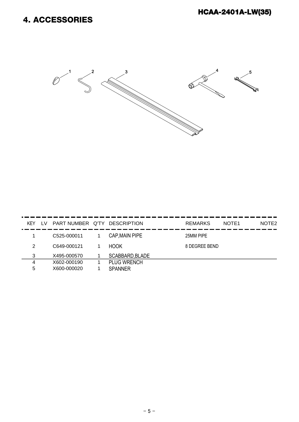#### 4. ACCESSORIES



| KEY | I V | PART NUMBER Q'TY DESCRIPTION |                       | <b>REMARKS</b> | NOTE <sub>1</sub> | NOTE <sub>2</sub> |
|-----|-----|------------------------------|-----------------------|----------------|-------------------|-------------------|
|     |     | C525-000011                  | <b>CAP, MAIN PIPE</b> | 25MM PIPE      |                   |                   |
| 2   |     | C649-000121                  | <b>HOOK</b>           | 8 DEGREE BEND  |                   |                   |
| 3   |     | X495-000570                  | SCABBARD, BLADE       |                |                   |                   |
| 4   |     | X602-000190                  | <b>PLUG WRENCH</b>    |                |                   |                   |
| 5   |     | X600-000020                  | SPANNER               |                |                   |                   |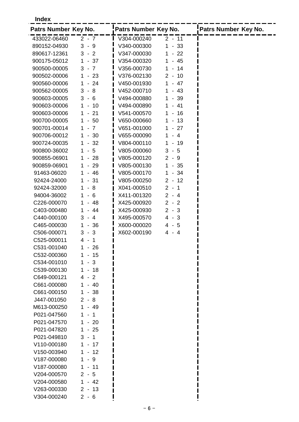**Index**

| Patrs Number Key No. |                                               | Patrs Number Key No. |                                                  | Patrs Number Key No. |
|----------------------|-----------------------------------------------|----------------------|--------------------------------------------------|----------------------|
| 433022-06460         | $2 - 7$                                       | V304-000240          | $2 - 11$                                         |                      |
| 890152-04930         | $3 - 9$                                       | V340-000300          | $\mathbf{1}$<br>$-33$                            |                      |
| 890617-12361         | $3 - 2$                                       | V347-000030          | $-22$<br>1                                       |                      |
| 900175-05012         | 37<br>1<br>$\overline{\phantom{a}}$           | V354-000320          | $-45$<br>1                                       |                      |
| 900500-00005         | $3 - 7$                                       | V356-000730          | -14<br>1<br>$\overline{\phantom{a}}$             |                      |
| 900502-00006         | $\mathbf 1$<br>23<br>$\sim$                   | V376-002130          | 10<br>$\overline{2}$<br>$\overline{\phantom{a}}$ |                      |
| 900560-00006         | $-24$<br>1                                    | V450-001930          | $-47$<br>1                                       |                      |
| 900562-00005         | 8<br>3<br>$\overline{\phantom{a}}$            | V452-000710          | $-43$<br>1                                       |                      |
| 900603-00005         | $3 -$<br>6                                    | V494-000880          | $-39$<br>1                                       |                      |
| 900603-00006         | $\mathbf 1$<br>10<br>$\overline{\phantom{a}}$ | V494-000890          | $-41$<br>1                                       |                      |
| 900603-00006         | 21<br>1<br>$\overline{\phantom{a}}$           | V541-000570          | 16<br>1<br>$\blacksquare$                        |                      |
| 900700-00005         | 50<br>1<br>$\sim$                             | V650-000660          | -13<br>1<br>$\overline{\phantom{a}}$             |                      |
| 900701-00014         | 7<br>1<br>$\overline{\phantom{a}}$            | V651-001000          | $-27$<br>1                                       |                      |
| 900706-00012         | $-30$<br>1                                    | V655-000090          | - 4<br>1                                         |                      |
| 900724-00035         | $-32$<br>1                                    | V804-000110          | 1<br>$-19$                                       |                      |
| 900800-36002         | 5<br>1<br>$\sim$                              | V805-000060          | 3<br>$-5$                                        |                      |
| 900855-06901         | $-28$<br>1                                    | V805-000120          | $2 - 9$                                          |                      |
| 900859-06901         | $-29$<br>1.                                   | V805-000130          | 1<br>$-35$                                       |                      |
| 91463-06020          | $-46$<br>1.                                   | V805-000170          | $-34$<br>1                                       |                      |
| 92424-24000          | $-31$<br>1                                    | V805-000250          | $2 - 12$                                         |                      |
| 92424-32000          | 8<br>1<br>$\overline{\phantom{a}}$            | X041-000510          | $2 - 1$                                          |                      |
| 94004-36002          | 6<br>1.<br>$\overline{\phantom{a}}$           | X411-001320          | $2 - 4$                                          |                      |
| C226-000070          | 48<br>1<br>$\overline{\phantom{a}}$           | X425-000920          | $2 - 2$                                          |                      |
| C403-000480          | 44<br>1                                       | X425-000930          | $2 - 3$                                          |                      |
| C440-000100          | 3<br>$-4$                                     | X495-000570          | $4 - 3$                                          |                      |
| C465-000030          | 1<br>36<br>$\overline{\phantom{a}}$           | X600-000020          | $4 - 5$                                          |                      |
| C506-000071          | 3<br>3<br>$\overline{\phantom{a}}$            | X602-000190          | 4 - 4                                            |                      |
| C525-000011          | 4<br>1<br>$\overline{\phantom{a}}$            |                      |                                                  |                      |
| C531-001040          | 26<br>1                                       |                      |                                                  |                      |
| C532-000360          | 15<br>1<br>$\overline{\phantom{a}}$           |                      |                                                  |                      |
| C534-001010          | $-3$<br>1                                     |                      |                                                  |                      |
| C539-000130          | $-18$<br>$\mathbf 1$                          |                      |                                                  |                      |
| C649-000121          | $\overline{2}$<br>4 -                         |                      |                                                  |                      |
| C661-000080          | 40<br>1.<br>$\sim$                            |                      |                                                  |                      |
| C661-000150          | $-38$<br>$\mathbf{1}$                         |                      |                                                  |                      |
| J447-001050          | $2 -$<br>8                                    |                      |                                                  |                      |
| M613-000250          | $\mathbf{1}$<br>$-49$                         |                      |                                                  |                      |
| P021-047560          | 1<br>$\mathbf 1$<br>$\overline{\phantom{a}}$  |                      |                                                  |                      |
| P021-047570          | $1 - 20$                                      |                      |                                                  |                      |
| P021-047820          | $-25$<br>1.                                   |                      |                                                  |                      |
| P021-049810          | $3 - 1$                                       |                      |                                                  |                      |
| V110-000180          | $1 - 17$                                      |                      |                                                  |                      |
| V150-003940          | $1 - 12$                                      |                      |                                                  |                      |
| V187-000080          | 1<br>9<br>$\sim$                              |                      |                                                  |                      |
| V187-000080          | 1<br>$-11$                                    |                      |                                                  |                      |
| V204-000570          | $2 - 5$                                       |                      |                                                  |                      |
| V204-000580          | $1 - 42$                                      |                      |                                                  |                      |
| V263-000330          | $2 - 13$                                      |                      |                                                  |                      |
| V304-000240          | $2 - 6$                                       |                      |                                                  |                      |